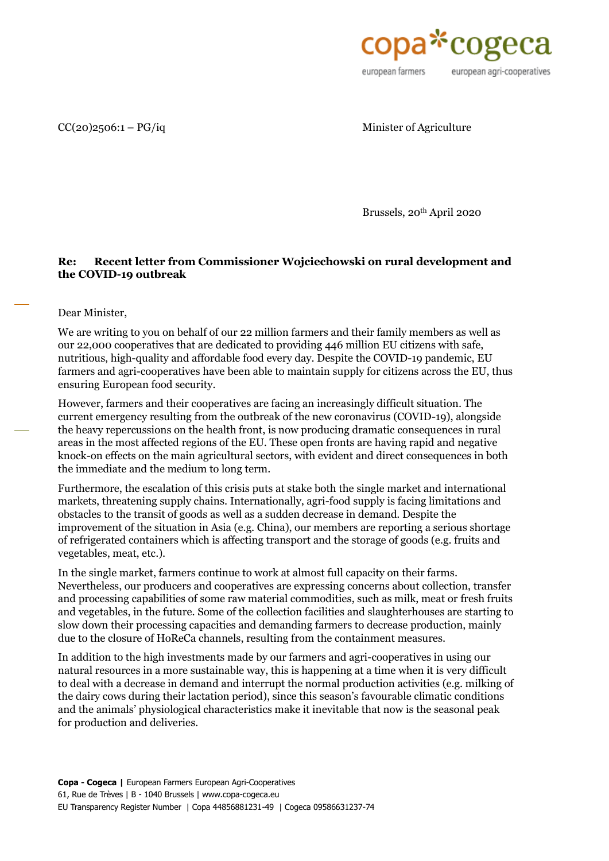

 $CC(20)2506:1 - PG/iq$  Minister of Agriculture

Brussels, 20th April 2020

## **Re: Recent letter from Commissioner Wojciechowski on rural development and the COVID-19 outbreak**

Dear Minister,

We are writing to you on behalf of our 22 million farmers and their family members as well as our 22,000 cooperatives that are dedicated to providing 446 million EU citizens with safe, nutritious, high-quality and affordable food every day. Despite the COVID-19 pandemic, EU farmers and agri-cooperatives have been able to maintain supply for citizens across the EU, thus ensuring European food security.

However, farmers and their cooperatives are facing an increasingly difficult situation. The current emergency resulting from the outbreak of the new coronavirus (COVID-19), alongside the heavy repercussions on the health front, is now producing dramatic consequences in rural areas in the most affected regions of the EU. These open fronts are having rapid and negative knock-on effects on the main agricultural sectors, with evident and direct consequences in both the immediate and the medium to long term.

Furthermore, the escalation of this crisis puts at stake both the single market and international markets, threatening supply chains. Internationally, agri-food supply is facing limitations and obstacles to the transit of goods as well as a sudden decrease in demand. Despite the improvement of the situation in Asia (e.g. China), our members are reporting a serious shortage of refrigerated containers which is affecting transport and the storage of goods (e.g. fruits and vegetables, meat, etc.).

In the single market, farmers continue to work at almost full capacity on their farms. Nevertheless, our producers and cooperatives are expressing concerns about collection, transfer and processing capabilities of some raw material commodities, such as milk, meat or fresh fruits and vegetables, in the future. Some of the collection facilities and slaughterhouses are starting to slow down their processing capacities and demanding farmers to decrease production, mainly due to the closure of HoReCa channels, resulting from the containment measures.

In addition to the high investments made by our farmers and agri-cooperatives in using our natural resources in a more sustainable way, this is happening at a time when it is very difficult to deal with a decrease in demand and interrupt the normal production activities (e.g. milking of the dairy cows during their lactation period), since this season's favourable climatic conditions and the animals' physiological characteristics make it inevitable that now is the seasonal peak for production and deliveries.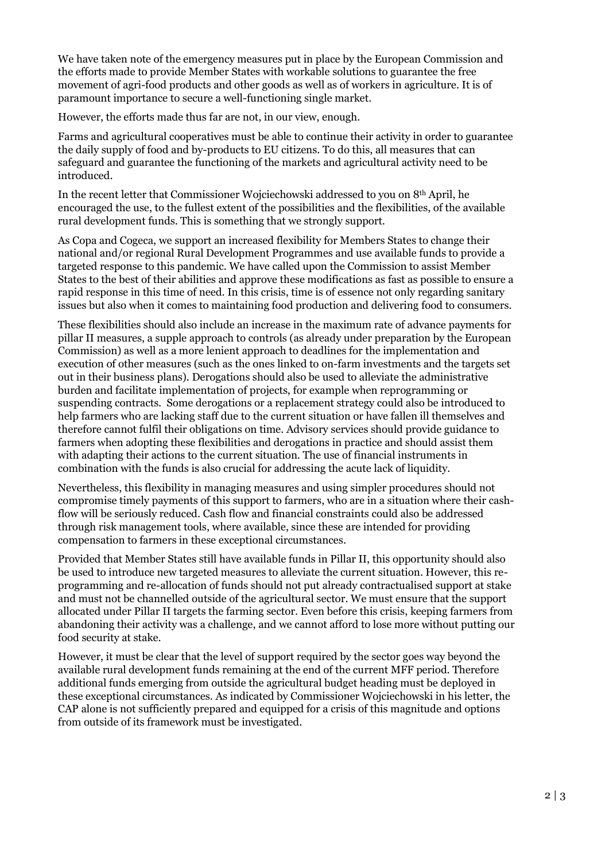We have taken note of the emergency measures put in place by the European Commission and the efforts made to provide Member States with workable solutions to guarantee the free movement of agri-food products and other goods as well as of workers in agriculture. It is of paramount importance to secure a well-functioning single market.

However, the efforts made thus far are not, in our view, enough.

Farms and agricultural cooperatives must be able to continue their activity in order to guarantee the daily supply of food and by-products to EU citizens. To do this, all measures that can safeguard and guarantee the functioning of the markets and agricultural activity need to be introduced.

In the recent letter that Commissioner Wojciechowski addressed to you on 8th April, he encouraged the use, to the fullest extent of the possibilities and the flexibilities, of the available rural development funds. This is something that we strongly support.

As Copa and Cogeca, we support an increased flexibility for Members States to change their national and/or regional Rural Development Programmes and use available funds to provide a targeted response to this pandemic. We have called upon the Commission to assist Member States to the best of their abilities and approve these modifications as fast as possible to ensure a rapid response in this time of need. In this crisis, time is of essence not only regarding sanitary issues but also when it comes to maintaining food production and delivering food to consumers.

These flexibilities should also include an increase in the maximum rate of advance payments for pillar II measures, a supple approach to controls (as already under preparation by the European Commission) as well as a more lenient approach to deadlines for the implementation and execution of other measures (such as the ones linked to on-farm investments and the targets set out in their business plans). Derogations should also be used to alleviate the administrative burden and facilitate implementation of projects, for example when reprogramming or suspending contracts. Some derogations or a replacement strategy could also be introduced to help farmers who are lacking staff due to the current situation or have fallen ill themselves and therefore cannot fulfil their obligations on time. Advisory services should provide guidance to farmers when adopting these flexibilities and derogations in practice and should assist them with adapting their actions to the current situation. The use of financial instruments in combination with the funds is also crucial for addressing the acute lack of liquidity.

Nevertheless, this flexibility in managing measures and using simpler procedures should not compromise timely payments of this support to farmers, who are in a situation where their cashflow will be seriously reduced. Cash flow and financial constraints could also be addressed through risk management tools, where available, since these are intended for providing compensation to farmers in these exceptional circumstances.

Provided that Member States still have available funds in Pillar II, this opportunity should also be used to introduce new targeted measures to alleviate the current situation. However, this reprogramming and re-allocation of funds should not put already contractualised support at stake and must not be channelled outside of the agricultural sector. We must ensure that the support allocated under Pillar II targets the farming sector. Even before this crisis, keeping farmers from abandoning their activity was a challenge, and we cannot afford to lose more without putting our food security at stake.

However, it must be clear that the level of support required by the sector goes way beyond the available rural development funds remaining at the end of the current MFF period. Therefore additional funds emerging from outside the agricultural budget heading must be deployed in these exceptional circumstances. As indicated by Commissioner Wojciechowski in his letter, the CAP alone is not sufficiently prepared and equipped for a crisis of this magnitude and options from outside of its framework must be investigated.